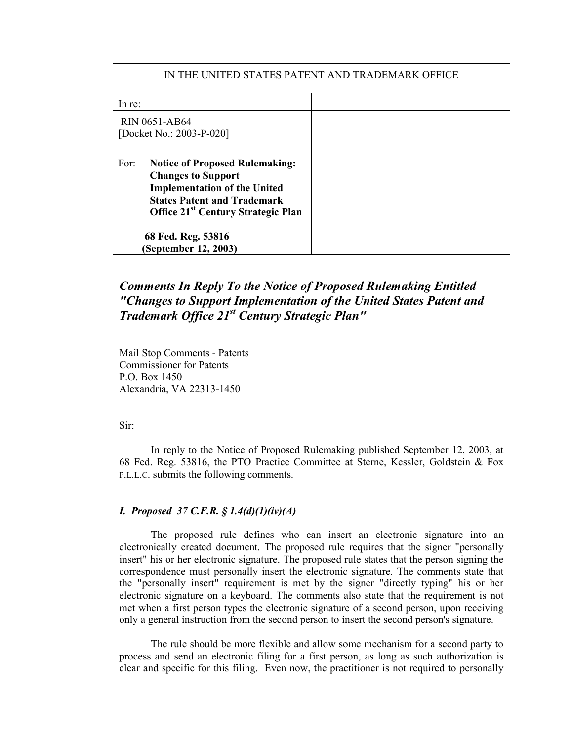| IN THE UNITED STATES PATENT AND TRADEMARK OFFICE |                                                                                                                                                                                                   |  |
|--------------------------------------------------|---------------------------------------------------------------------------------------------------------------------------------------------------------------------------------------------------|--|
| In re:                                           |                                                                                                                                                                                                   |  |
| <b>RIN 0651-AB64</b><br>[Docket No.: 2003-P-020] |                                                                                                                                                                                                   |  |
| For:                                             | <b>Notice of Proposed Rulemaking:</b><br><b>Changes to Support</b><br><b>Implementation of the United</b><br><b>States Patent and Trademark</b><br>Office 21 <sup>st</sup> Century Strategic Plan |  |
| 68 Fed. Reg. 53816<br>(September 12, 2003)       |                                                                                                                                                                                                   |  |

# *Comments In Reply To the Notice of Proposed Rulemaking Entitled "Changes to Support Implementation of the United States Patent and Trademark Office 21st Century Strategic Plan"*

Mail Stop Comments - Patents Commissioner for Patents P.O. Box 1450 Alexandria, VA 22313-1450

Sir:

In reply to the Notice of Proposed Rulemaking published September 12, 2003, at 68 Fed. Reg. 53816, the PTO Practice Committee at Sterne, Kessler, Goldstein & Fox P.L.L.C. submits the following comments.

# *I. Proposed 37 C.F.R. § 1.4(d)(1)(iv)(A)*

The proposed rule defines who can insert an electronic signature into an electronically created document. The proposed rule requires that the signer "personally insert" his or her electronic signature. The proposed rule states that the person signing the correspondence must personally insert the electronic signature. The comments state that the "personally insert" requirement is met by the signer "directly typing" his or her electronic signature on a keyboard. The comments also state that the requirement is not met when a first person types the electronic signature of a second person, upon receiving only a general instruction from the second person to insert the second person's signature.

The rule should be more flexible and allow some mechanism for a second party to process and send an electronic filing for a first person, as long as such authorization is clear and specific for this filing. Even now, the practitioner is not required to personally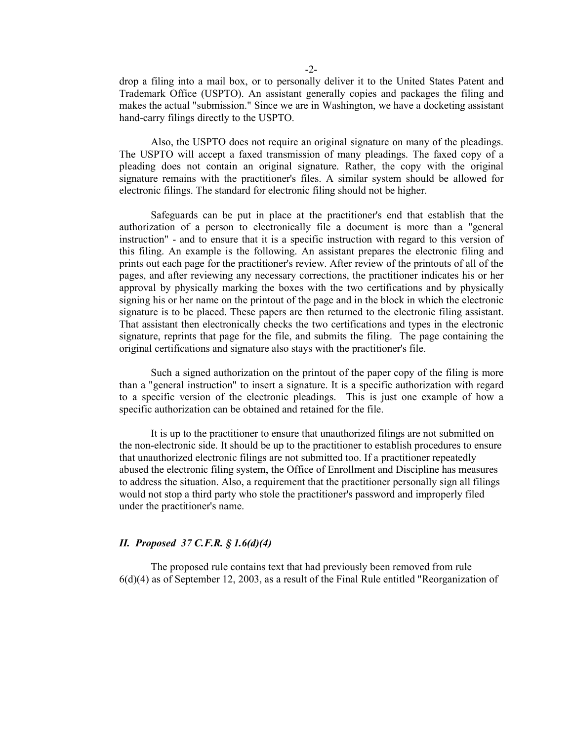drop a filing into a mail box, or to personally deliver it to the United States Patent and Trademark Office (USPTO). An assistant generally copies and packages the filing and makes the actual "submission." Since we are in Washington, we have a docketing assistant hand-carry filings directly to the USPTO.

Also, the USPTO does not require an original signature on many of the pleadings. The USPTO will accept a faxed transmission of many pleadings. The faxed copy of a pleading does not contain an original signature. Rather, the copy with the original signature remains with the practitioner's files. A similar system should be allowed for electronic filings. The standard for electronic filing should not be higher.

Safeguards can be put in place at the practitioner's end that establish that the authorization of a person to electronically file a document is more than a "general instruction" - and to ensure that it is a specific instruction with regard to this version of this filing. An example is the following. An assistant prepares the electronic filing and prints out each page for the practitioner's review. After review of the printouts of all of the pages, and after reviewing any necessary corrections, the practitioner indicates his or her approval by physically marking the boxes with the two certifications and by physically signing his or her name on the printout of the page and in the block in which the electronic signature is to be placed. These papers are then returned to the electronic filing assistant. That assistant then electronically checks the two certifications and types in the electronic signature, reprints that page for the file, and submits the filing. The page containing the original certifications and signature also stays with the practitioner's file.

Such a signed authorization on the printout of the paper copy of the filing is more than a "general instruction" to insert a signature. It is a specific authorization with regard to a specific version of the electronic pleadings. This is just one example of how a specific authorization can be obtained and retained for the file.

It is up to the practitioner to ensure that unauthorized filings are not submitted on the non-electronic side. It should be up to the practitioner to establish procedures to ensure that unauthorized electronic filings are not submitted too. If a practitioner repeatedly abused the electronic filing system, the Office of Enrollment and Discipline has measures to address the situation. Also, a requirement that the practitioner personally sign all filings would not stop a third party who stole the practitioner's password and improperly filed under the practitioner's name.

#### *II. Proposed 37 C.F.R. § 1.6(d)(4)*

The proposed rule contains text that had previously been removed from rule 6(d)(4) as of September 12, 2003, as a result of the Final Rule entitled "Reorganization of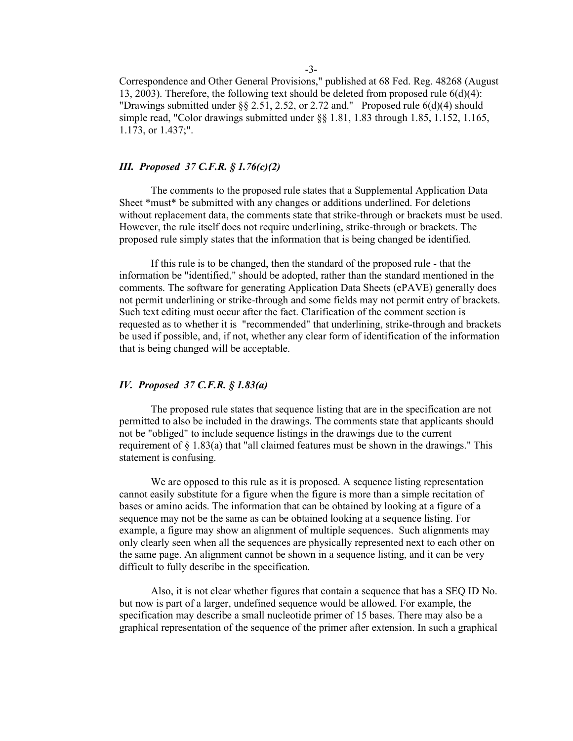Correspondence and Other General Provisions," published at 68 Fed. Reg. 48268 (August 13, 2003). Therefore, the following text should be deleted from proposed rule 6(d)(4): "Drawings submitted under  $\S$ § 2.51, 2.52, or 2.72 and." Proposed rule 6(d)(4) should simple read, "Color drawings submitted under §§ 1.81, 1.83 through 1.85, 1.152, 1.165, 1.173, or 1.437;".

## *III. Proposed 37 C.F.R. § 1.76(c)(2)*

The comments to the proposed rule states that a Supplemental Application Data Sheet \*must\* be submitted with any changes or additions underlined. For deletions without replacement data, the comments state that strike-through or brackets must be used. However, the rule itself does not require underlining, strike-through or brackets. The proposed rule simply states that the information that is being changed be identified.

If this rule is to be changed, then the standard of the proposed rule - that the information be "identified," should be adopted, rather than the standard mentioned in the comments. The software for generating Application Data Sheets (ePAVE) generally does not permit underlining or strike-through and some fields may not permit entry of brackets. Such text editing must occur after the fact. Clarification of the comment section is requested as to whether it is "recommended" that underlining, strike-through and brackets be used if possible, and, if not, whether any clear form of identification of the information that is being changed will be acceptable.

## *IV. Proposed 37 C.F.R. § 1.83(a)*

The proposed rule states that sequence listing that are in the specification are not permitted to also be included in the drawings. The comments state that applicants should not be "obliged" to include sequence listings in the drawings due to the current requirement of § 1.83(a) that "all claimed features must be shown in the drawings." This statement is confusing.

We are opposed to this rule as it is proposed. A sequence listing representation cannot easily substitute for a figure when the figure is more than a simple recitation of bases or amino acids. The information that can be obtained by looking at a figure of a sequence may not be the same as can be obtained looking at a sequence listing. For example, a figure may show an alignment of multiple sequences. Such alignments may only clearly seen when all the sequences are physically represented next to each other on the same page. An alignment cannot be shown in a sequence listing, and it can be very difficult to fully describe in the specification.

Also, it is not clear whether figures that contain a sequence that has a SEQ ID No. but now is part of a larger, undefined sequence would be allowed. For example, the specification may describe a small nucleotide primer of 15 bases. There may also be a graphical representation of the sequence of the primer after extension. In such a graphical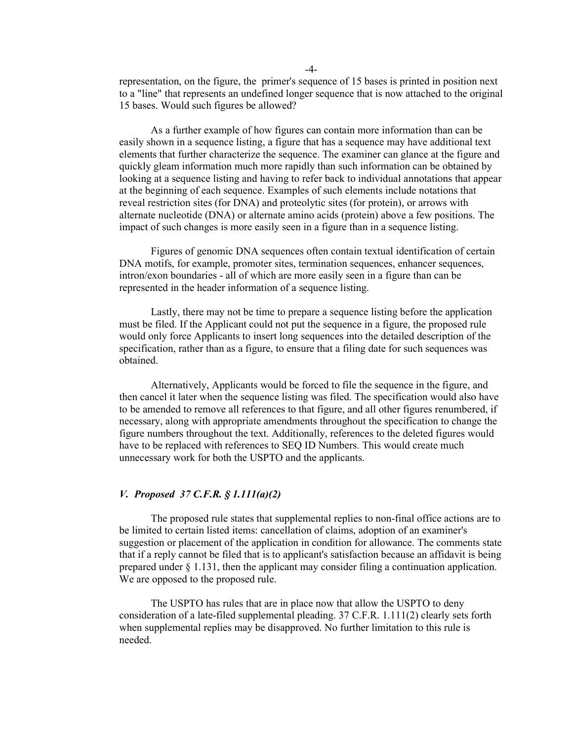representation, on the figure, the primer's sequence of 15 bases is printed in position next to a "line" that represents an undefined longer sequence that is now attached to the original 15 bases. Would such figures be allowed?

As a further example of how figures can contain more information than can be easily shown in a sequence listing, a figure that has a sequence may have additional text elements that further characterize the sequence. The examiner can glance at the figure and quickly gleam information much more rapidly than such information can be obtained by looking at a sequence listing and having to refer back to individual annotations that appear at the beginning of each sequence. Examples of such elements include notations that reveal restriction sites (for DNA) and proteolytic sites (for protein), or arrows with alternate nucleotide (DNA) or alternate amino acids (protein) above a few positions. The impact of such changes is more easily seen in a figure than in a sequence listing.

Figures of genomic DNA sequences often contain textual identification of certain DNA motifs, for example, promoter sites, termination sequences, enhancer sequences, intron/exon boundaries - all of which are more easily seen in a figure than can be represented in the header information of a sequence listing.

Lastly, there may not be time to prepare a sequence listing before the application must be filed. If the Applicant could not put the sequence in a figure, the proposed rule would only force Applicants to insert long sequences into the detailed description of the specification, rather than as a figure, to ensure that a filing date for such sequences was obtained.

Alternatively, Applicants would be forced to file the sequence in the figure, and then cancel it later when the sequence listing was filed. The specification would also have to be amended to remove all references to that figure, and all other figures renumbered, if necessary, along with appropriate amendments throughout the specification to change the figure numbers throughout the text. Additionally, references to the deleted figures would have to be replaced with references to SEQ ID Numbers. This would create much unnecessary work for both the USPTO and the applicants.

# *V. Proposed 37 C.F.R. § 1.111(a)(2)*

The proposed rule states that supplemental replies to non-final office actions are to be limited to certain listed items: cancellation of claims, adoption of an examiner's suggestion or placement of the application in condition for allowance. The comments state that if a reply cannot be filed that is to applicant's satisfaction because an affidavit is being prepared under  $\S 1.131$ , then the applicant may consider filing a continuation application. We are opposed to the proposed rule.

The USPTO has rules that are in place now that allow the USPTO to deny consideration of a late-filed supplemental pleading. 37 C.F.R. 1.111(2) clearly sets forth when supplemental replies may be disapproved. No further limitation to this rule is needed.

-4-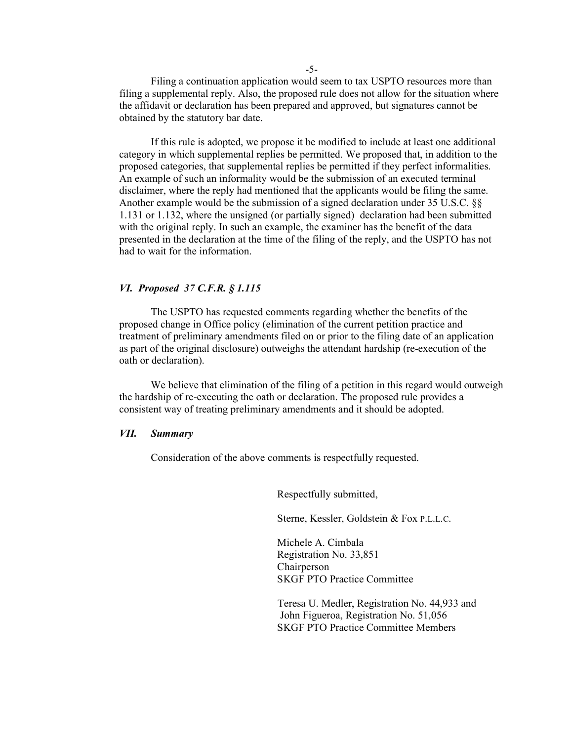Filing a continuation application would seem to tax USPTO resources more than filing a supplemental reply. Also, the proposed rule does not allow for the situation where the affidavit or declaration has been prepared and approved, but signatures cannot be obtained by the statutory bar date.

If this rule is adopted, we propose it be modified to include at least one additional category in which supplemental replies be permitted. We proposed that, in addition to the proposed categories, that supplemental replies be permitted if they perfect informalities. An example of such an informality would be the submission of an executed terminal disclaimer, where the reply had mentioned that the applicants would be filing the same. Another example would be the submission of a signed declaration under 35 U.S.C. §§ 1.131 or 1.132, where the unsigned (or partially signed) declaration had been submitted with the original reply. In such an example, the examiner has the benefit of the data presented in the declaration at the time of the filing of the reply, and the USPTO has not had to wait for the information.

### *VI. Proposed 37 C.F.R. § 1.115*

The USPTO has requested comments regarding whether the benefits of the proposed change in Office policy (elimination of the current petition practice and treatment of preliminary amendments filed on or prior to the filing date of an application as part of the original disclosure) outweighs the attendant hardship (re-execution of the oath or declaration).

We believe that elimination of the filing of a petition in this regard would outweigh the hardship of re-executing the oath or declaration. The proposed rule provides a consistent way of treating preliminary amendments and it should be adopted.

### *VII. Summary*

Consideration of the above comments is respectfully requested.

Respectfully submitted,

Sterne, Kessler, Goldstein & Fox P.L.L.C.

Michele A. Cimbala Registration No. 33,851 Chairperson SKGF PTO Practice Committee

Teresa U. Medler, Registration No. 44,933 and John Figueroa, Registration No. 51,056 SKGF PTO Practice Committee Members